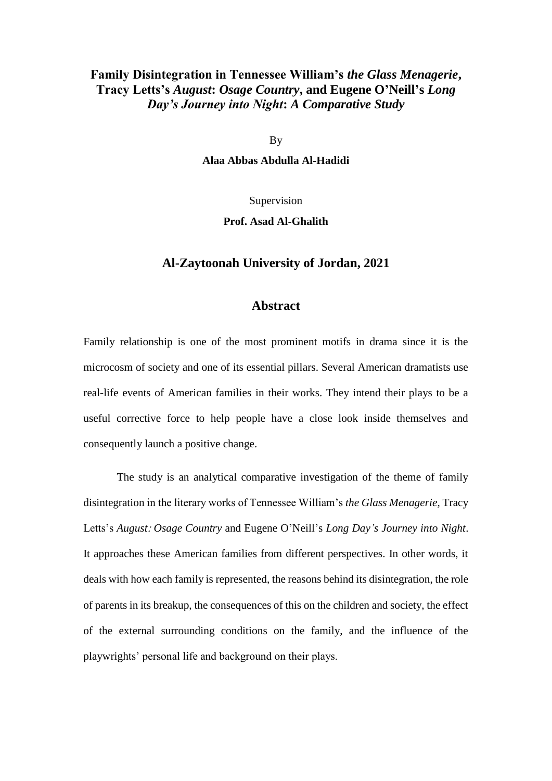## **Family Disintegration in Tennessee William's** *the Glass Menagerie***, Tracy Letts's** *August***:** *Osage Country***, and Eugene O'Neill's** *Long Day's Journey into Night***:** *A Comparative Study*

By

**Alaa Abbas Abdulla Al-Hadidi**

Supervision

**Prof. Asad Al-Ghalith**

## **Al-Zaytoonah University of Jordan, 2021**

## **Abstract**

Family relationship is one of the most prominent motifs in drama since it is the microcosm of society and one of its essential pillars. Several American dramatists use real-life events of American families in their works. They intend their plays to be a useful corrective force to help people have a close look inside themselves and consequently launch a positive change.

The study is an analytical comparative investigation of the theme of family disintegration in the literary works of Tennessee William's *the Glass Menagerie*, Tracy Letts's *August*: *Osage Country* and Eugene O'Neill's *Long Day's Journey into Night*. It approaches these American families from different perspectives. In other words, it deals with how each family is represented, the reasons behind its disintegration, the role of parents in its breakup, the consequences of this on the children and society, the effect of the external surrounding conditions on the family, and the influence of the playwrights' personal life and background on their plays.